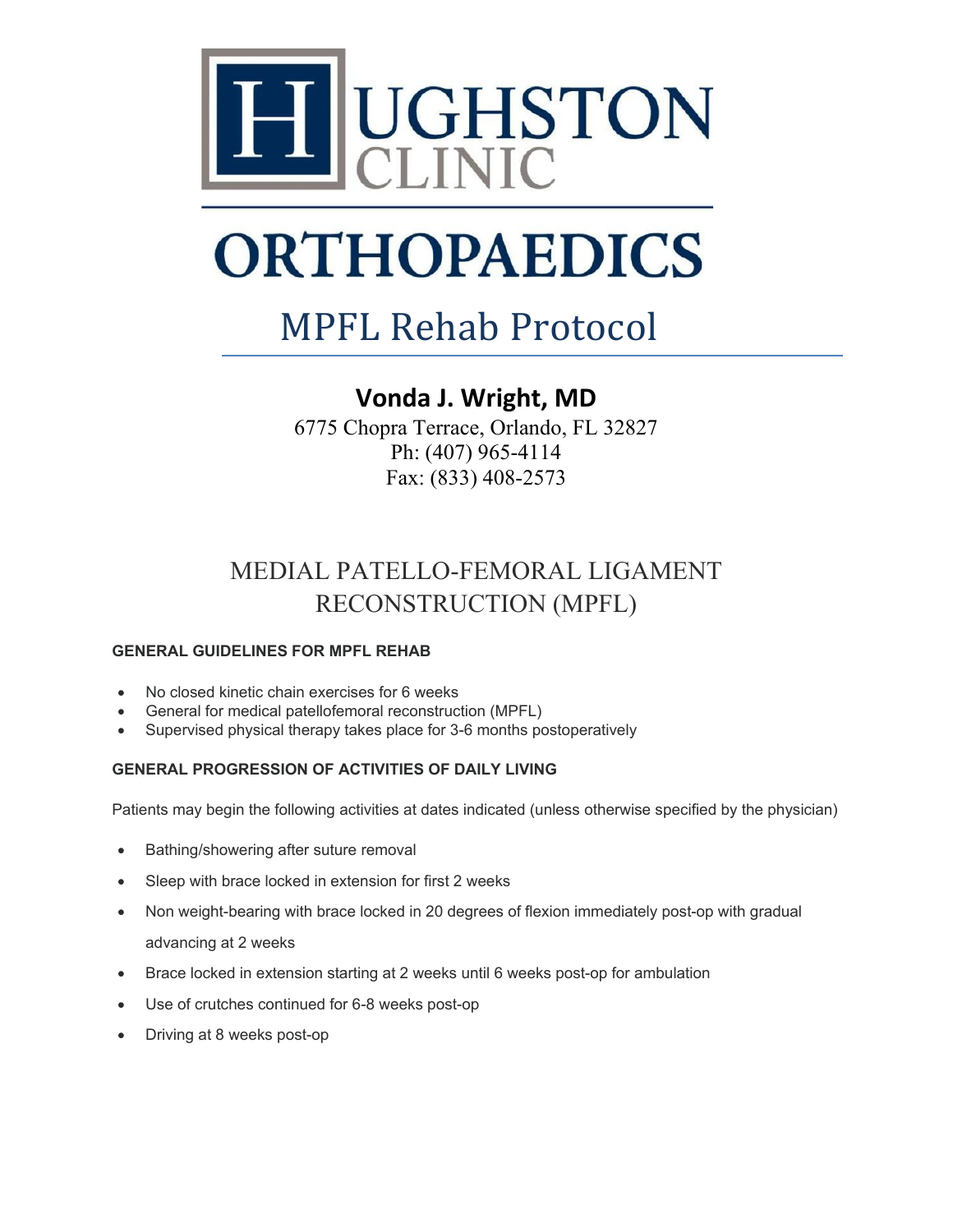

### MPFL Rehab Protocol

### **Vonda J. Wright, MD**

6775 Chopra Terrace, Orlando, FL 32827 Ph: (407) 965-4114 Fax: (833) 408-2573

### MEDIAL PATELLO-FEMORAL LIGAMENT RECONSTRUCTION (MPFL)

#### **GENERAL GUIDELINES FOR MPFL REHAB**

- No closed kinetic chain exercises for 6 weeks
- General for medical patellofemoral reconstruction (MPFL)
- Supervised physical therapy takes place for 3-6 months postoperatively

#### **GENERAL PROGRESSION OF ACTIVITIES OF DAILY LIVING**

Patients may begin the following activities at dates indicated (unless otherwise specified by the physician)

- Bathing/showering after suture removal
- Sleep with brace locked in extension for first 2 weeks
- Non weight-bearing with brace locked in 20 degrees of flexion immediately post-op with gradual advancing at 2 weeks
- Brace locked in extension starting at 2 weeks until 6 weeks post-op for ambulation
- Use of crutches continued for 6-8 weeks post-op
- Driving at 8 weeks post-op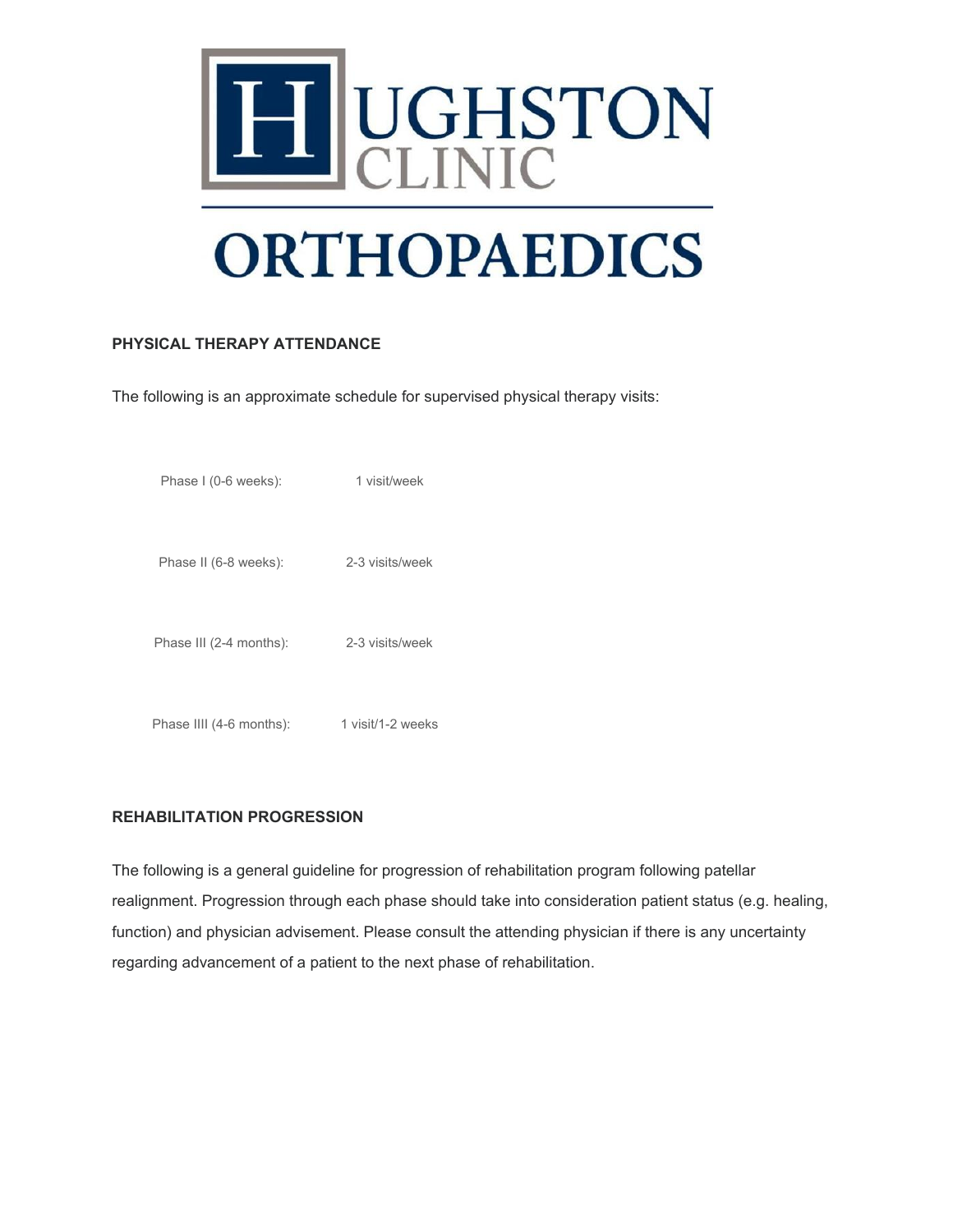

#### **PHYSICAL THERAPY ATTENDANCE**

The following is an approximate schedule for supervised physical therapy visits:

| Phase I (0-6 weeks):     | 1 visit/week      |
|--------------------------|-------------------|
| Phase II (6-8 weeks):    | 2-3 visits/week   |
| Phase III (2-4 months):  | 2-3 visits/week   |
| Phase IIII (4-6 months): | 1 visit/1-2 weeks |

#### **REHABILITATION PROGRESSION**

The following is a general guideline for progression of rehabilitation program following patellar realignment. Progression through each phase should take into consideration patient status (e.g. healing, function) and physician advisement. Please consult the attending physician if there is any uncertainty regarding advancement of a patient to the next phase of rehabilitation.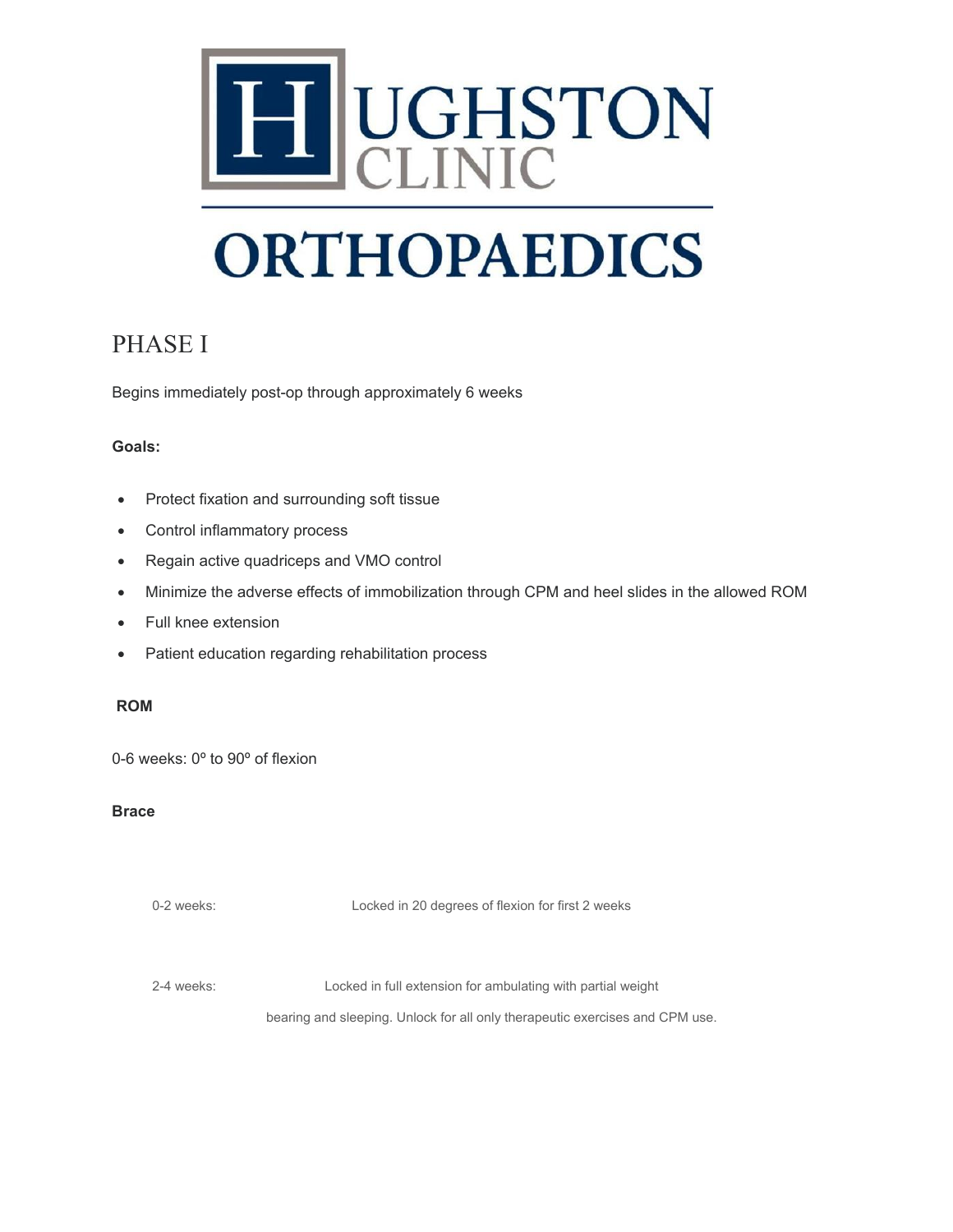

### PHASE I

Begins immediately post-op through approximately 6 weeks

#### **Goals:**

- Protect fixation and surrounding soft tissue
- Control inflammatory process
- Regain active quadriceps and VMO control
- Minimize the adverse effects of immobilization through CPM and heel slides in the allowed ROM
- Full knee extension
- Patient education regarding rehabilitation process

#### **ROM**

0-6 weeks: 0º to 90º of flexion

#### **Brace**

0-2 weeks: Locked in 20 degrees of flexion for first 2 weeks

2-4 weeks: Locked in full extension for ambulating with partial weight

bearing and sleeping. Unlock for all only therapeutic exercises and CPM use.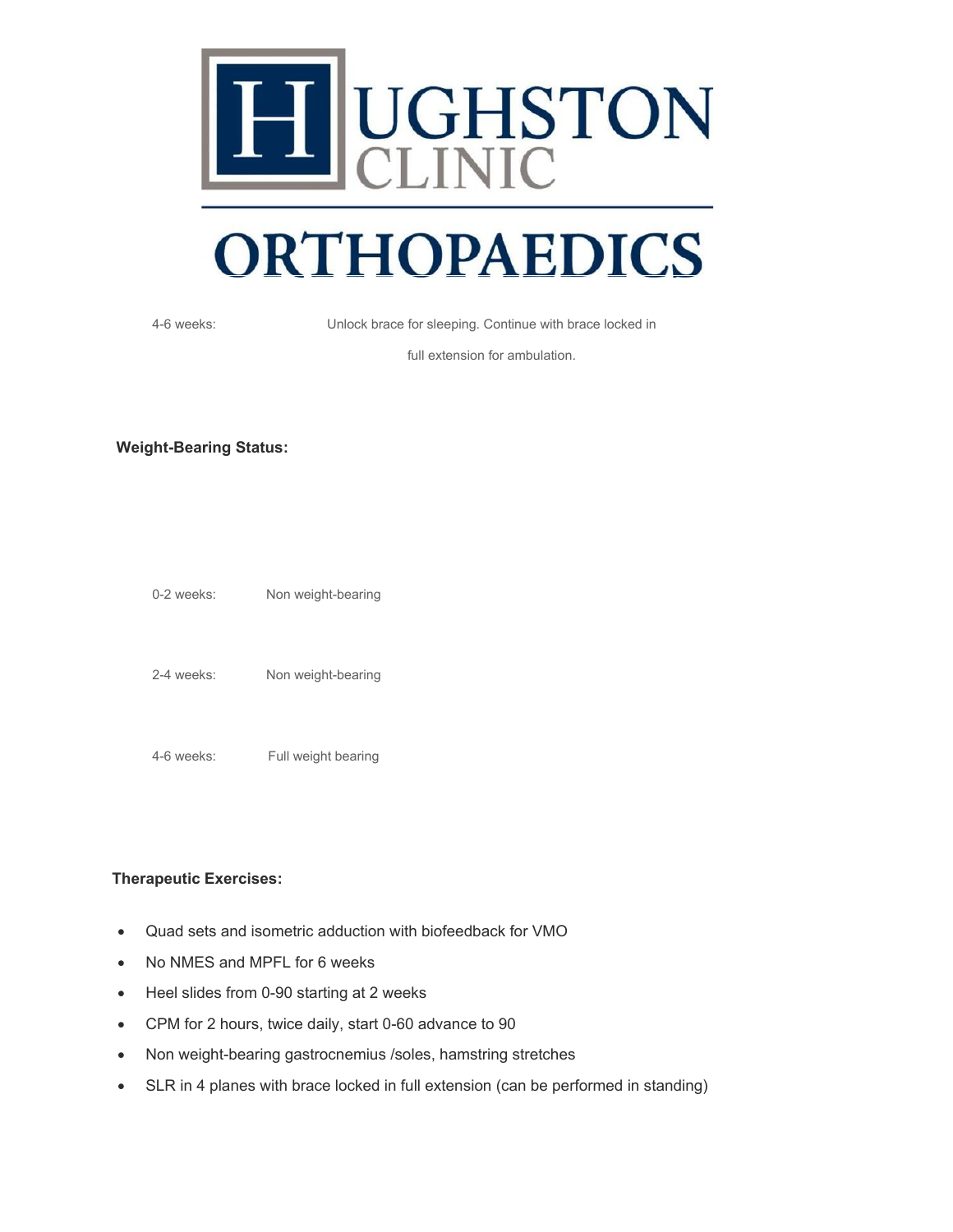

4-6 weeks: Unlock brace for sleeping. Continue with brace locked in

full extension for ambulation.

#### **Weight-Bearing Status:**

| $0-2$ weeks: | Non weight-bearing |
|--------------|--------------------|
| 2-4 weeks:   | Non weight-bearing |

4-6 weeks: Full weight bearing

**Therapeutic Exercises:**

- Quad sets and isometric adduction with biofeedback for VMO
- No NMES and MPFL for 6 weeks
- Heel slides from 0-90 starting at 2 weeks
- CPM for 2 hours, twice daily, start 0-60 advance to 90
- Non weight-bearing gastrocnemius /soles, hamstring stretches
- SLR in 4 planes with brace locked in full extension (can be performed in standing)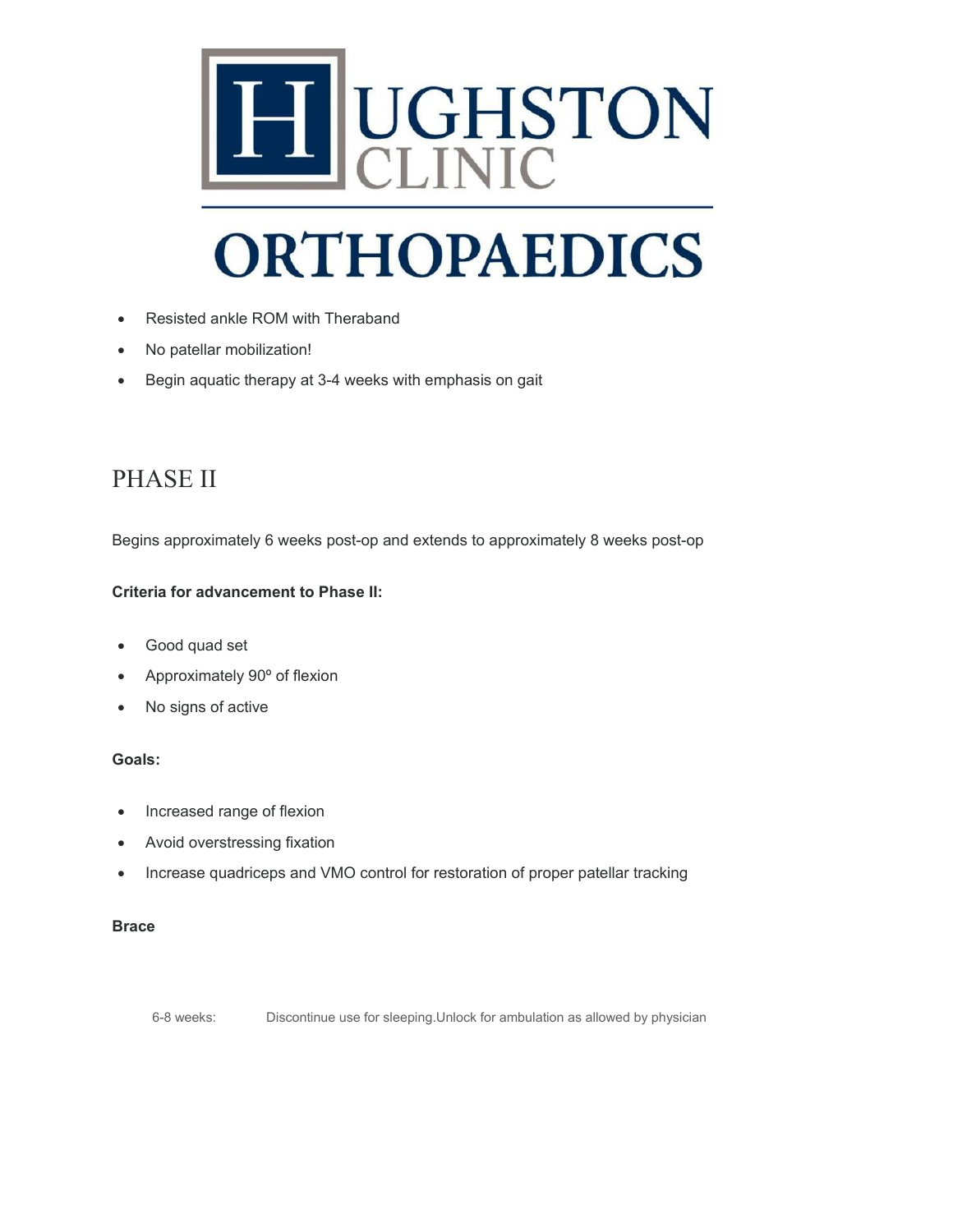

- Resisted ankle ROM with Theraband
- No patellar mobilization!
- Begin aquatic therapy at 3-4 weeks with emphasis on gait

### PHASE II

Begins approximately 6 weeks post-op and extends to approximately 8 weeks post-op

#### **Criteria for advancement to Phase II:**

- Good quad set
- Approximately 90º of flexion
- No signs of active

#### **Goals:**

- Increased range of flexion
- Avoid overstressing fixation
- Increase quadriceps and VMO control for restoration of proper patellar tracking

#### **Brace**

6-8 weeks: Discontinue use for sleeping.Unlock for ambulation as allowed by physician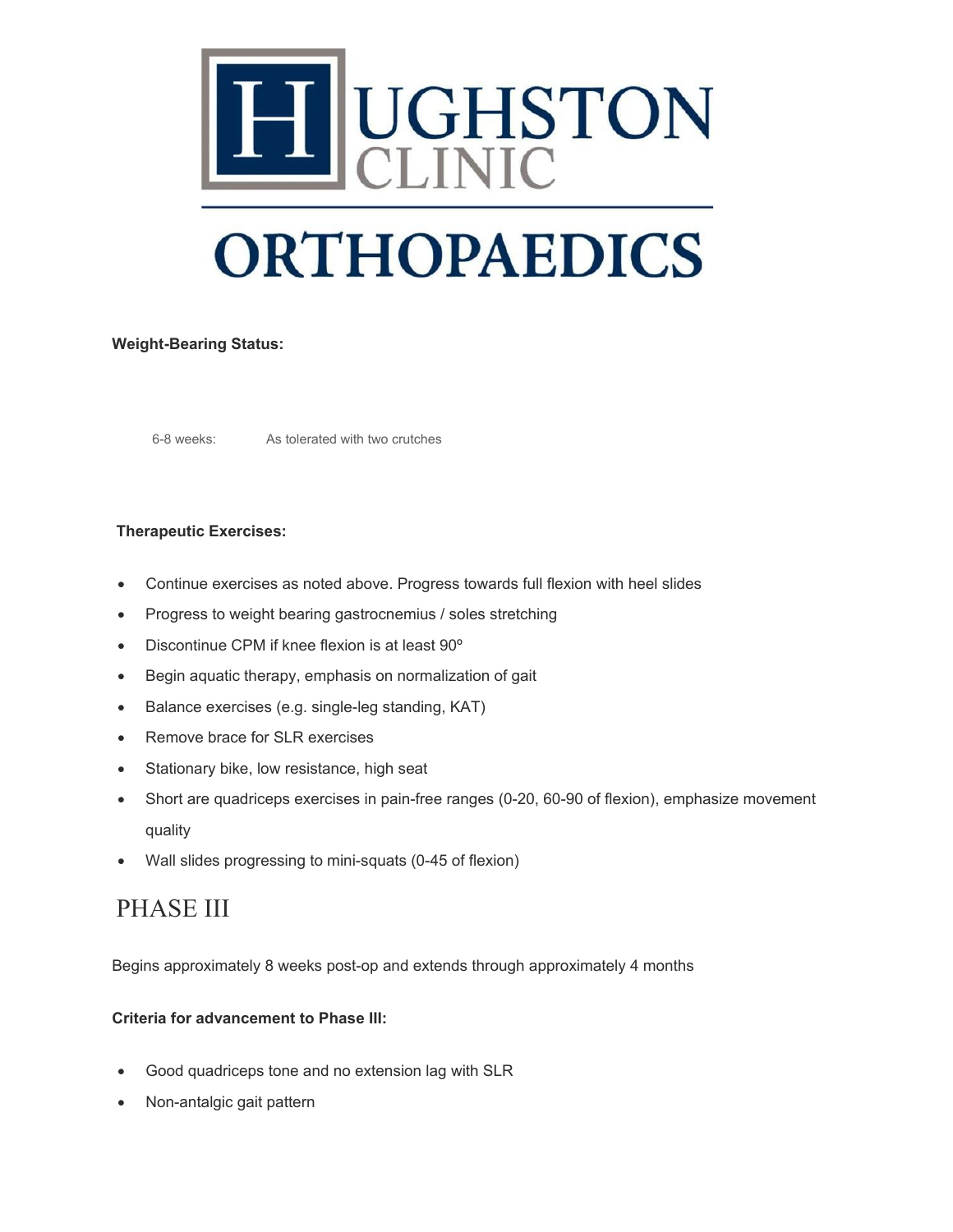

#### **Weight-Bearing Status:**

6-8 weeks: As tolerated with two crutches

#### **Therapeutic Exercises:**

- Continue exercises as noted above. Progress towards full flexion with heel slides
- Progress to weight bearing gastrocnemius / soles stretching
- Discontinue CPM if knee flexion is at least 90º
- Begin aquatic therapy, emphasis on normalization of gait
- Balance exercises (e.g. single-leg standing, KAT)
- Remove brace for SLR exercises
- Stationary bike, low resistance, high seat
- Short are quadriceps exercises in pain-free ranges (0-20, 60-90 of flexion), emphasize movement quality
- Wall slides progressing to mini-squats (0-45 of flexion)

### PHASE III

Begins approximately 8 weeks post-op and extends through approximately 4 months

#### **Criteria for advancement to Phase III:**

- Good quadriceps tone and no extension lag with SLR
- Non-antalgic gait pattern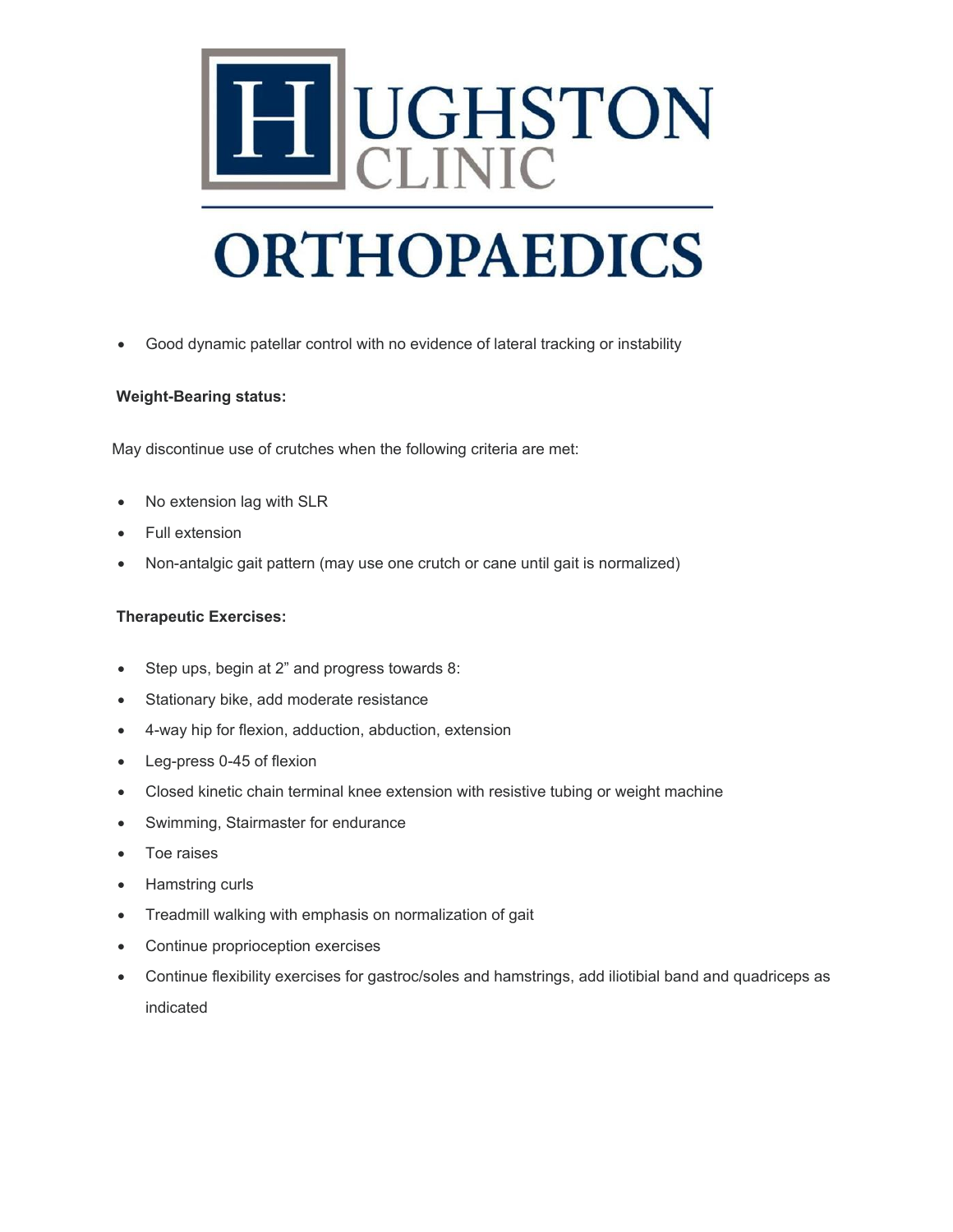

• Good dynamic patellar control with no evidence of lateral tracking or instability

#### **Weight-Bearing status:**

May discontinue use of crutches when the following criteria are met:

- No extension lag with SLR
- Full extension
- Non-antalgic gait pattern (may use one crutch or cane until gait is normalized)

#### **Therapeutic Exercises:**

- Step ups, begin at 2" and progress towards 8:
- Stationary bike, add moderate resistance
- 4-way hip for flexion, adduction, abduction, extension
- Leg-press 0-45 of flexion
- Closed kinetic chain terminal knee extension with resistive tubing or weight machine
- Swimming, Stairmaster for endurance
- Toe raises
- Hamstring curls
- Treadmill walking with emphasis on normalization of gait
- Continue proprioception exercises
- Continue flexibility exercises for gastroc/soles and hamstrings, add iliotibial band and quadriceps as indicated